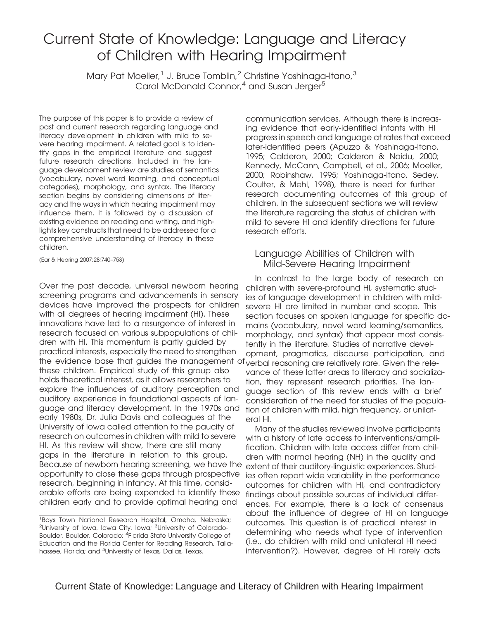# Current State of Knowledge: Language and Literacy of Children with Hearing Impairment

Mary Pat Moeller,<sup>1</sup> J. Bruce Tomblin,<sup>2</sup> Christine Yoshinaga-Itano,<sup>3</sup> Carol McDonald Connor,<sup>4</sup> and Susan Jerger<sup>5</sup>

The purpose of this paper is to provide a review of past and current research regarding language and literacy development in children with mild to severe hearing impairment. A related goal is to identify gaps in the empirical literature and suggest future research directions. Included in the language development review are studies of semantics (vocabulary, novel word learning, and conceptual categories), morphology, and syntax. The literacy section begins by considering dimensions of literacy and the ways in which hearing impairment may influence them. It is followed by a discussion of existing evidence on reading and writing, and highlights key constructs that need to be addressed for a comprehensive understanding of literacy in these children.

(Ear & Hearing 2007;28;740–753)

Over the past decade, universal newborn hearing screening programs and advancements in sensory devices have improved the prospects for children with all degrees of hearing impairment (HI). These innovations have led to a resurgence of interest in research focused on various subpopulations of children with HI. This momentum is partly guided by practical interests, especially the need to strengthen the evidence base that guides the management of verbal reasoning are relatively rare. Given the relethese children. Empirical study of this group also holds theoretical interest, as it allows researchers to explore the influences of auditory perception and auditory experience in foundational aspects of language and literacy development. In the 1970s and early 1980s, Dr. Julia Davis and colleagues at the University of Iowa called attention to the paucity of research on outcomes in children with mild to severe HI. As this review will show, there are still many gaps in the literature in relation to this group. Because of newborn hearing screening, we have the opportunity to close these gaps through prospective research, beginning in infancy. At this time, considerable efforts are being expended to identify these children early and to provide optimal hearing and

communication services. Although there is increasing evidence that early-identified infants with HI progress in speech and language at rates that exceed later-identified peers (Apuzzo & Yoshinaga-Itano, 1995; Calderon, 2000; Calderon & Naidu, 2000; Kennedy, McCann, Campbell, et al., 2006; Moeller, 2000; Robinshaw, 1995; Yoshinaga-Itano, Sedey, Coulter, & Mehl, 1998), there is need for further research documenting outcomes of this group of children. In the subsequent sections we will review the literature regarding the status of children with mild to severe HI and identify directions for future research efforts.

#### Language Abilities of Children with Mild-Severe Hearing Impairment

In contrast to the large body of research on children with severe-profound HI, systematic studies of language development in children with mildsevere HI are limited in number and scope. This section focuses on spoken language for specific domains (vocabulary, novel word learning/semantics, morphology, and syntax) that appear most consistently in the literature. Studies of narrative development, pragmatics, discourse participation, and vance of these latter areas to literacy and socialization, they represent research priorities. The language section of this review ends with a brief consideration of the need for studies of the population of children with mild, high frequency, or unilateral HI.

Many of the studies reviewed involve participants with a history of late access to interventions/amplification. Children with late access differ from children with normal hearing (NH) in the quality and extent of their auditory-linguistic experiences. Studies often report wide variability in the performance outcomes for children with HI, and contradictory findings about possible sources of individual differences. For example, there is a lack of consensus about the influence of degree of HI on language outcomes. This question is of practical interest in determining who needs what type of intervention (i.e., do children with mild and unilateral HI need intervention?). However, degree of HI rarely acts

<sup>&</sup>lt;sup>1</sup>Boys Town National Research Hospital, Omaha, Nebraska; <sup>2</sup>University of Iowa, Iowa City, Iowa; <sup>3</sup>University of Colorado-Boulder, Boulder, Colorado; <sup>4</sup>Florida State University College of Education and the Florida Center for Reading Research, Tallahassee, Florida; and <sup>5</sup>University of Texas, Dallas, Texas.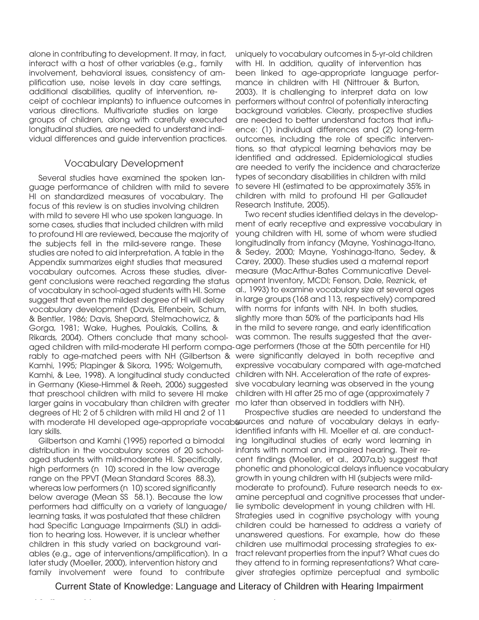alone in contributing to development. It may, in fact, interact with a host of other variables (e.g., family involvement, behavioral issues, consistency of amplification use, noise levels in day care settings, additional disabilities, quality of intervention, receipt of cochlear implants) to influence outcomes in various directions. Multivariate studies on large groups of children, along with carefully executed longitudinal studies, are needed to understand individual differences and guide intervention practices.

#### Vocabulary Development

Several studies have examined the spoken language performance of children with mild to severe HI on standardized measures of vocabulary. The focus of this review is on studies involving children with mild to severe HI who use spoken language. In some cases, studies that included children with mild to profound HI are reviewed, because the majority of the subjects fell in the mild-severe range. These studies are noted to aid interpretation. A table in the Appendix summarizes eight studies that measured vocabulary outcomes. Across these studies, divergent conclusions were reached regarding the status of vocabulary in school-aged students with HI. Some suggest that even the mildest degree of HI will delay vocabulary development (Davis, Elfenbein, Schum, & Bentler, 1986; Davis, Shepard, Stelmachowicz, & Gorga, 1981; Wake, Hughes, Poulakis, Collins, & Rikards, 2004). Others conclude that many schoolaged children with mild-moderate HI perform compa-age performers (those at the 50th percentile for HI) rably to age-matched peers with NH (Gilbertson & were significantly delayed in both receptive and Kamhi, 1995; Plapinger & Sikora, 1995; Wolgemuth, Kamhi, & Lee, 1998). A longitudinal study conducted in Germany (Kiese-Himmel & Reeh, 2006) suggested that preschool children with mild to severe HI make larger gains in vocabulary than children with greater degrees of HI; 2 of 5 children with mild HI and 2 of 11 lary skills.

Gilbertson and Kamhi (1995) reported a bimodal distribution in the vocabulary scores of 20 schoolaged students with mild-moderate HI. Specifically, high performers (n 10) scored in the low average range on the PPVT (Mean Standard Scores 88.3), whereas low performers (n 10) scored significantly below average (Mean SS 58.1). Because the low performers had difficulty on a variety of language/ learning tasks, it was postulated that these children had Specific Language Impairments (SLI) in addition to hearing loss. However, it is unclear whether children in this study varied on background variables (e.g., age of interventions/amplification). In a later study (Moeller, 2000), intervention history and family involvement were found to contribute

uniquely to vocabulary outcomes in 5-yr-old children with HI. In addition, quality of intervention has been linked to age-appropriate language performance in children with HI (Nittrouer & Burton, 2003). It is challenging to interpret data on low performers without control of potentially interacting background variables. Clearly, prospective studies are needed to better understand factors that influence: (1) individual differences and (2) long-term outcomes, including the role of specific interventions, so that atypical learning behaviors may be identified and addressed. Epidemiological studies are needed to verify the incidence and characterize types of secondary disabilities in children with mild to severe HI (estimated to be approximately 35% in children with mild to profound HI per Gallaudet Research Institute, 2005).

Two recent studies identified delays in the development of early receptive and expressive vocabulary in young children with HI, some of whom were studied longitudinally from infancy (Mayne, Yoshinaga-Itano, & Sedey, 2000; Mayne, Yoshinaga-Itano, Sedey, & Carey, 2000). These studies used a maternal report measure (MacArthur-Bates Communicative Development Inventory, MCDI; Fenson, Dale, Reznick, et al., 1993) to examine vocabulary size at several ages in large groups (168 and 113, respectively) compared with norms for infants with NH. In both studies, slightly more than 50% of the participants had HIs in the mild to severe range, and early identification was common. The results suggested that the averexpressive vocabulary compared with age-matched children with NH. Acceleration of the rate of expressive vocabulary learning was observed in the young children with HI after 25 mo of age (approximately 7 mo later than observed in toddlers with NH).

with moderate HI developed age-appropriate vocabsources and nature of vocabulary delays in early-Prospective studies are needed to understand the identified infants with HI. Moeller et al. are conducting longitudinal studies of early word learning in infants with normal and impaired hearing. Their recent findings (Moeller, et al., 2007a,b) suggest that phonetic and phonological delays influence vocabulary growth in young children with HI (subjects were mildmoderate to profound). Future research needs to examine perceptual and cognitive processes that underlie symbolic development in young children with HI. Strategies used in cognitive psychology with young children could be harnessed to address a variety of unanswered questions. For example, how do these children use multimodal processing strategies to extract relevant properties from the input? What cues do they attend to in forming representations? What caregiver strategies optimize perceptual and symbolic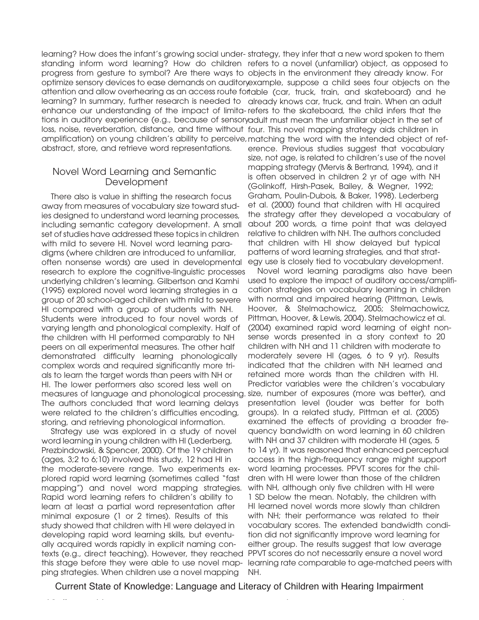learning? How does the infant's growing social under-strategy, they infer that a new word spoken to them standing inform word learning? How do children refers to a novel (unfamiliar) object, as opposed to progress from gesture to symbol? Are there ways to objects in the environment they already know. For optimize sensory devices to ease demands on auditory example, suppose a child sees four objects on the attention and allow overhearing as an access route fortable (car, truck, train, and skateboard) and he learning? In summary, further research is needed to already knows car, truck, and train. When an adult enhance our understanding of the impact of limita-refers to the skateboard, the child infers that the tions in auditory experience (e.g., because of sensory adult must mean the unfamiliar object in the set of loss, noise, reverberation, distance, and time without four. This novel mapping strategy aids children in amplification) on young children's ability to perceive, matching the word with the intended object of refabstract, store, and retrieve word representations.

#### Novel Word Learning and Semantic Development

There also is value in shifting the research focus away from measures of vocabulary size toward studies designed to understand word learning processes, including semantic category development. A small set of studies have addressed these topics in children with mild to severe HI. Novel word learning paradigms (where children are introduced to unfamiliar, often nonsense words) are used in developmental research to explore the cognitive-linguistic processes underlying children's learning. Gilbertson and Kamhi (1995) explored novel word learning strategies in a group of 20 school-aged children with mild to severe HI compared with a group of students with NH. Students were introduced to four novel words of varying length and phonological complexity. Half of the children with HI performed comparably to NH peers on all experimental measures. The other half demonstrated difficulty learning phonologically complex words and required significantly more trials to learn the target words than peers with NH or HI. The lower performers also scored less well on measures of language and phonological processing. The authors concluded that word learning delays were related to the children's difficulties encoding, storing, and retrieving phonological information.

Strategy use was explored in a study of novel word learning in young children with HI (Lederberg, Prezbindowski, & Spencer, 2000). Of the 19 children (ages, 3;2 to 6;10) involved this study, 12 had HI in the moderate-severe range. Two experiments explored rapid word learning (sometimes called "fast mapping") and novel word mapping strategies. Rapid word learning refers to children's ability to learn at least a partial word representation after minimal exposure (1 or 2 times). Results of this study showed that children with HI were delayed in developing rapid word learning skills, but eventually acquired words rapidly in explicit naming contexts (e.g., direct teaching). However, they reached this stage before they were able to use novel mapping strategies. When children use a novel mapping

erence. Previous studies suggest that vocabulary size, not age, is related to children's use of the novel mapping strategy (Mervis & Bertrand, 1994), and it is often observed in children 2 yr of age with NH (Golinkoff, Hirsh-Pasek, Bailey, & Wegner, 1992; Graham, Poulin-Dubois, & Baker, 1998). Lederberg et al. (2000) found that children with HI acquired the strategy after they developed a vocabulary of about 200 words, a time point that was delayed relative to children with NH. The authors concluded that children with HI show delayed but typical patterns of word learning strategies, and that strategy use is closely tied to vocabulary development.

Novel word learning paradigms also have been used to explore the impact of auditory access/amplification strategies on vocabulary learning in children with normal and impaired hearing (Pittman, Lewis, Hoover, & Stelmachowicz, 2005; Stelmachowicz, Pittman, Hoover, & Lewis, 2004). Stelmachowicz et al. (2004) examined rapid word learning of eight nonsense words presented in a story context to 20 children with NH and 11 children with moderate to moderately severe HI (ages, 6 to 9 yr). Results indicated that the children with NH learned and retained more words than the children with HI. Predictor variables were the children's vocabulary size, number of exposures (more was better), and presentation level (louder was better for both groups). In a related study, Pittman et al. (2005) examined the effects of providing a broader frequency bandwidth on word learning in 60 children with NH and 37 children with moderate HI (ages, 5) to 14 yr). It was reasoned that enhanced perceptual access in the high-frequency range might support word learning processes. PPVT scores for the children with HI were lower than those of the children with NH, although only five children with HI were 1 SD below the mean. Notably, the children with HI learned novel words more slowly than children with NH; their performance was related to their vocabulary scores. The extended bandwidth condition did not significantly improve word learning for either group. The results suggest that low average PPVT scores do not necessarily ensure a novel word learning rate comparable to age-matched peers with NH.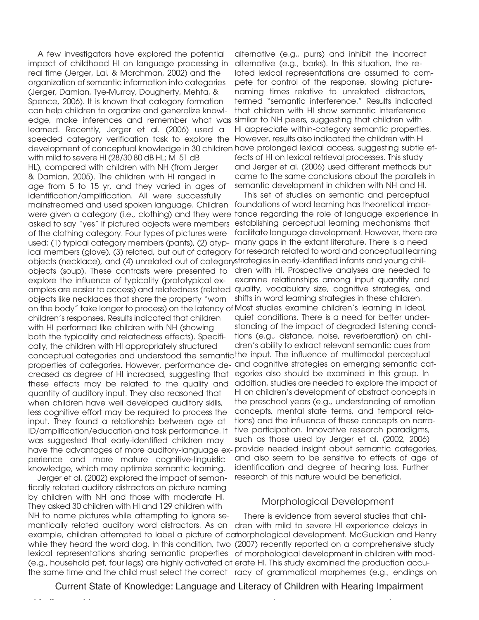A few investigators have explored the potential impact of childhood HI on language processing in real time (Jerger, Lai, & Marchman, 2002) and the organization of semantic information into categories (Jerger, Damian, Tye-Murray, Dougherty, Mehta, & Spence, 2006). It is known that category formation can help children to organize and generalize knowledge, make inferences and remember what was similar to NH peers, suggesting that children with learned. Recently, Jerger et al. (2006) used a speeded category verification task to explore the However, results also indicated the children with HI development of conceptual knowledge in 30 children have prolonged lexical access, suggesting subtle efwith mild to severe HI (28/30 80 dB HL; M 51 dB HL), compared with children with NH (from Jerger & Damian, 2005). The children with HI ranged in age from 5 to 15 yr, and they varied in ages of identification/amplification. All were successfully mainstreamed and used spoken language. Children foundations of word learning has theoretical imporwere given a category (i.e., clothing) and they were tance regarding the role of language experience in asked to say "yes" if pictured objects were members establishing perceptual learning mechanisms that of the clothing category. Four types of pictures were used: (1) typical category members (pants), (2) atyp-many gaps in the extant literature. There is a need ical members (glove), (3) related, but out of category for research related to word and conceptual learning objects (necklace), and (4) unrelated out of category strategies in early-identified infants and young chilobjects (soup). These contrasts were presented to dren with HI. Prospective analyses are needed to explore the influence of typicality (prototypical examples are easier to access) and relatedness (related quality, vocabulary size, cognitive strategies, and objects like necklaces that share the property "worn on the body" take longer to process) on the latency of Most studies examine children's learning in ideal, children's responses. Results indicated that children with HI performed like children with NH (showing both the typicality and relatedness effects). Specifically, the children with HI appropriately structured conceptual categories and understood the semantic the input. The influence of multimodal perceptual properties of categories. However, performance de-and cognitive strategies on emerging semantic catcreased as degree of HI increased, suggesting that these effects may be related to the quality and quantity of auditory input. They also reasoned that when children have well developed auditory skills, less cognitive effort may be required to process the input. They found a relationship between age at ID/amplification/education and task performance. It was suggested that early-identified children may have the advantages of more auditory-language ex-provide needed insight about semantic categories, perience and more mature cognitive-linguistic knowledge, which may optimize semantic learning.

Jerger et al. (2002) explored the impact of semantically related auditory distractors on picture naming by children with NH and those with moderate HI. They asked 30 children with HI and 129 children with NH to name pictures while attempting to ignore se-

alternative (e.g., purrs) and inhibit the incorrect alternative (e.g., barks). In this situation, the related lexical representations are assumed to compete for control of the response, slowing picturenaming times relative to unrelated distractors, termed "semantic interference." Results indicated that children with HI show semantic interference HI appreciate within-category semantic properties. fects of HI on lexical retrieval processes. This study and Jerger et al. (2006) used different methods but came to the same conclusions about the parallels in semantic development in children with NH and HI.

This set of studies on semantic and perceptual facilitate language development. However, there are examine relationships among input quantity and shifts in word learning strategies in these children. quiet conditions. There is a need for better understanding of the impact of degraded listening conditions (e.g., distance, noise, reverberation) on children's ability to extract relevant semantic cues from egories also should be examined in this group. In addition, studies are needed to explore the impact of HI on children's development of abstract concepts in the preschool years (e.g., understanding of emotion concepts, mental state terms, and temporal relations) and the influence of these concepts on narrative participation. Innovative research paradigms, such as those used by Jerger et al. (2002, 2006) and also seem to be sensitive to effects of age of identification and degree of hearing loss. Further research of this nature would be beneficial.

## Morphological Development

mantically related auditory word distractors. As an dren with mild to severe HI experience delays in example, children attempted to label a picture of cat morphological development. McGuckian and Henry while they heard the word dog. In this condition, two (2007) recently reported on a comprehensive study lexical representations sharing semantic properties of morphological development in children with mod-(e.g., household pet, four legs) are highly activated at erate HI. This study examined the production accuthe same time and the child must select the correct racy of grammatical morphemes (e.g., endings on There is evidence from several studies that chil-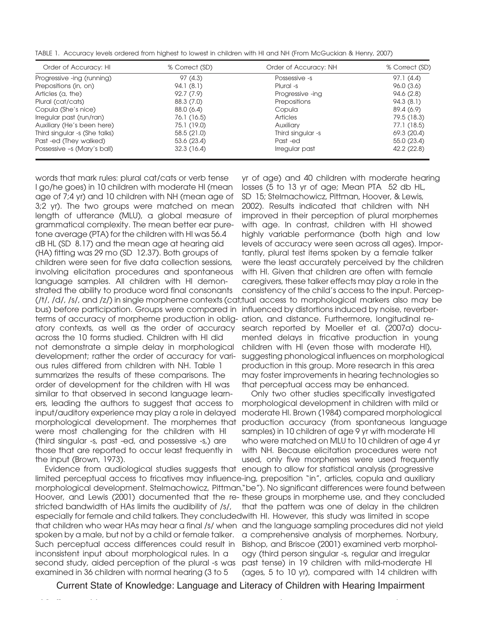TABLE 1. Accuracy levels ordered from highest to lowest in children with HI and NH (From McGuckian & Henry, 2007)

| Order of Accuracy: HI         | % Correct (SD) | Order of Accuracy: NH | % Correct (SD) |
|-------------------------------|----------------|-----------------------|----------------|
| Progressive -ing (running)    | 97 (4.3)       | Possessive -s         | 97.1 (4.4)     |
| Prepositions (in, on)         | 94.1(8.1)      | Plural -s             | 96.0(3.6)      |
| Articles (a, the)             | 92.7(7.9)      | Progressive -ing      | 94.6(2.8)      |
| Plural (cat/cats)             | 88.3 (7.0)     | Prepositions          | 94.3(8.1)      |
| Copula (She's nice)           | 88.0 (6.4)     | Copula                | 89.4 (6.9)     |
| Irregular past (run/ran)      | 76.1 (16.5)    | <b>Articles</b>       | 79.5 (18.3)    |
| Auxiliary (He's been here)    | 75.1 (19.0)    | Auxiliary             | 77.1 (18.5)    |
| Third singular -s (She talks) | 58.5(21.0)     | Third singular -s     | 69.3 (20.4)    |
| Past -ed (They walked)        | 53.6(23.4)     | Past -ed              | 55.0(23.4)     |
| Possessive -s (Mary's ball)   | 32.3(16.4)     | Irregular past        | 42.2 (22.8)    |

words that mark rules: plural cat/cats or verb tense I go/he goes) in 10 children with moderate HI (mean age of 7;4 yr) and 10 children with NH (mean age of 3;2 yr). The two groups were matched on mean length of utterance (MLU), a global measure of grammatical complexity. The mean better ear puretone average (PTA) for the children with HI was 56.4 dB HL (SD 8.17) and the mean age at hearing aid (HA) fitting was 29 mo (SD 12.37). Both groups of children were seen for five data collection sessions, involving elicitation procedures and spontaneous language samples. All children with HI demonstrated the ability to produce word final consonants bus) before participation. Groups were compared in influenced by distortions induced by noise, reverberterms of accuracy of morpheme production in oblig- ation, and distance. Furthermore, longitudinal reatory contexts, as well as the order of accuracy across the 10 forms studied. Children with HI did not demonstrate a simple delay in morphological development; rather the order of accuracy for various rules differed from children with NH. Table 1 summarizes the results of these comparisons. The order of development for the children with HI was similar to that observed in second language learners, leading the authors to suggest that access to input/auditory experience may play a role in delayed morphological development. The morphemes that were most challenging for the children with HI (third singular -s, past -ed, and possessive -s,) are those that are reported to occur least frequently in the input (Brown, 1973).

Evidence from audiological studies suggests that enough to allow for statistical analysis (progressive limited perceptual access to fricatives may influence -ing, preposition "in", articles, copula and auxiliary morphological development. Stelmachowicz, Pittman, "be"). No significant differences were found between Hoover, and Lewis (2001) documented that the re-these groups in morpheme use, and they concluded stricted bandwidth of HAs limits the audibility of /s/, especially for female and child talkers. They concluded with HI. However, this study was limited in scope that children who wear HAs may hear a final /s/ when and the language sampling procedures did not yield spoken by a male, but not by a child or female talker. Such perceptual access differences could result in inconsistent input about morphological rules. In a second study, aided perception of the plural -s was examined in 36 children with normal hearing (3 to 5

(/t/, /d/, /s/, and /z/) in single morpheme contexts (cat; tual access to morphological markers also may be yr of age) and 40 children with moderate hearing losses (5 to 13 yr of age; Mean PTA 52 db HL, SD 15; Stelmachowicz, Pittman, Hoover, & Lewis, 2002). Results indicated that children with NH improved in their perception of plural morphemes with age. In contrast, children with HI showed highly variable performance (both high and low levels of accuracy were seen across all ages). Importantly, plural test items spoken by a female talker were the least accurately perceived by the children with HI. Given that children are often with female caregivers, these talker effects may play a role in the consistency of the child's access to the input. Percepsearch reported by Moeller et al. (2007a) documented delays in fricative production in young children with HI (even those with moderate HI), suggesting phonological influences on morphological production in this group. More research in this area may foster improvements in hearing technologies so that perceptual access may be enhanced.

Only two other studies specifically investigated morphological development in children with mild or moderate HI. Brown (1984) compared morphological production accuracy (from spontaneous language samples) in 10 children of age 9 yr with moderate HI who were matched on MLU to 10 children of age 4 yr with NH. Because elicitation procedures were not used, only five morphemes were used frequently that the pattern was one of delay in the children a comprehensive analysis of morphemes. Norbury, Bishop, and Briscoe (2001) examined verb morphology (third person singular -s, regular and irregular past tense) in 19 children with mild-moderate HI (ages, 5 to 10 yr), compared with 14 children with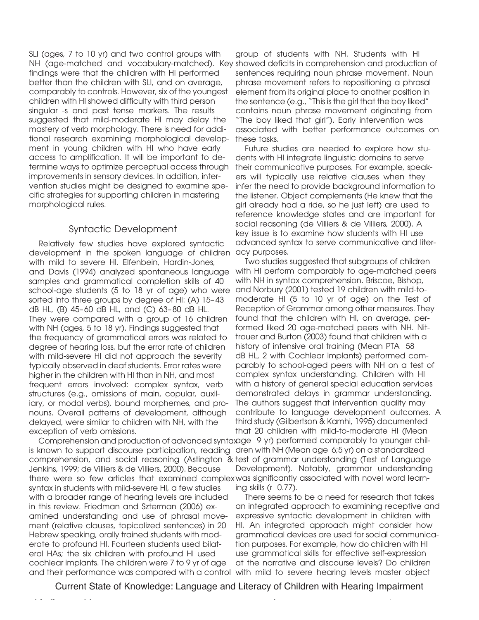SLI (ages, 7 to 10 yr) and two control groups with findings were that the children with HI performed better than the children with SLI, and on average, comparably to controls. However, six of the youngest children with HI showed difficulty with third person singular -s and past tense markers. The results suggested that mild-moderate HI may delay the mastery of verb morphology. There is need for additional research examining morphological development in young children with HI who have early access to amplification. It will be important to determine ways to optimize perceptual access through improvements in sensory devices. In addition, intervention studies might be designed to examine specific strategies for supporting children in mastering morphological rules.

## Syntactic Development

Relatively few studies have explored syntactic development in the spoken language of children with mild to severe HI. Elfenbein, Hardin-Jones, and Davis (1994) analyzed spontaneous language samples and grammatical completion skills of 40 school-age students (5 to 18 yr of age) who were sorted into three groups by degree of HI: (A) 15– 43 dB HL, (B) 45– 60 dB HL, and (C) 63– 80 dB HL. They were compared with a group of 16 children with NH (ages, 5 to 18 yr). Findings suggested that the frequency of grammatical errors was related to degree of hearing loss, but the error rate of children with mild-severe HI did not approach the severity typically observed in deaf students. Error rates were higher in the children with HI than in NH, and most frequent errors involved: complex syntax, verb structures (e.g., omissions of main, copular, auxiliary, or modal verbs), bound morphemes, and pronouns. Overall patterns of development, although delayed, were similar to children with NH, with the exception of verb omissions.

is known to support discourse participation, reading dren with NH (Mean age 6;5 yr) on a standardized comprehension, and social reasoning (Astington & test of grammar understanding (Test of Language Jenkins, 1999; de Villiers & de Villiers, 2000). Because there were so few articles that examined complex was significantly associated with novel word learnsyntax in students with mild-severe HI, a few studies with a broader range of hearing levels are included in this review. Friedman and Szterman (2006) examined understanding and use of phrasal movement (relative clauses, topicalized sentences) in 20 Hebrew speaking, orally trained students with moderate to profound HI. Fourteen students used bilateral HAs; the six children with profound HI used cochlear implants. The children were 7 to 9 yr of age and their performance was compared with a control with mild to severe hearing levels master object

NH (age-matched and vocabulary-matched). Key showed deficits in comprehension and production of group of students with NH. Students with HI sentences requiring noun phrase movement. Noun phrase movement refers to repositioning a phrasal element from its original place to another position in the sentence (e.g., "This is the girl that the boy liked" contains noun phrase movement originating from "The boy liked that girl"). Early intervention was associated with better performance outcomes on these tasks.

> Future studies are needed to explore how students with HI integrate linguistic domains to serve their communicative purposes. For example, speakers will typically use relative clauses when they infer the need to provide background information to the listener. Object complements (He knew that the girl already had a ride, so he just left) are used to reference knowledge states and are important for social reasoning (de Villiers & de Villiers, 2000). A key issue is to examine how students with HI use advanced syntax to serve communicative and literacy purposes.

Comprehension and production of advanced syntax age 9 yr) performed comparably to younger chil-Two studies suggested that subgroups of children with HI perform comparably to age-matched peers with NH in syntax comprehension. Briscoe, Bishop, and Norbury (2001) tested 19 children with mild-tomoderate HI (5 to 10 yr of age) on the Test of Reception of Grammar among other measures. They found that the children with HI, on average, performed liked 20 age-matched peers with NH. Nittrouer and Burton (2003) found that children with a history of intensive oral training (Mean PTA 58 dB HL, 2 with Cochlear Implants) performed comparably to school-aged peers with NH on a test of complex syntax understanding. Children with HI with a history of general special education services demonstrated delays in grammar understanding. The authors suggest that intervention quality may contribute to language development outcomes. A third study (Gilbertson & Kamhi, 1995) documented that 20 children with mild-to-moderate HI (Mean Development). Notably, grammar understanding ing skills (r 0.77).

There seems to be a need for research that takes an integrated approach to examining receptive and expressive syntactic development in children with HI. An integrated approach might consider how grammatical devices are used for social communication purposes. For example, how do children with HI use grammatical skills for effective self-expression at the narrative and discourse levels? Do children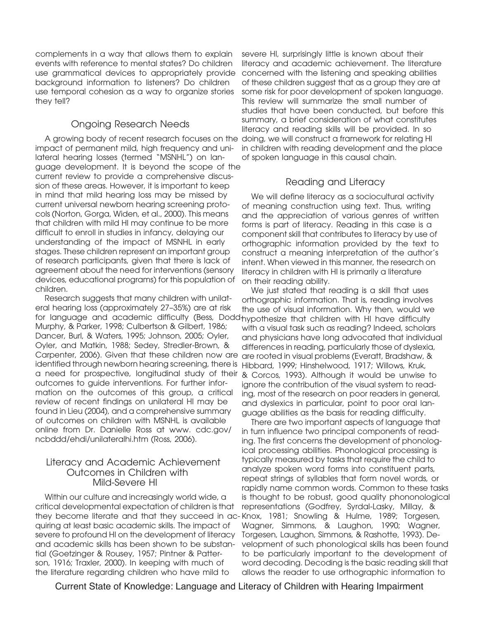complements in a way that allows them to explain events with reference to mental states? Do children use grammatical devices to appropriately provide background information to listeners? Do children use temporal cohesion as a way to organize stories they tell?

# Ongoing Research Needs

A growing body of recent research focuses on the doing, we will construct a framework for relating HI impact of permanent mild, high frequency and unilateral hearing losses (termed "MSNHL") on language development. It is beyond the scope of the current review to provide a comprehensive discussion of these areas. However, it is important to keep in mind that mild hearing loss may be missed by current universal newborn hearing screening protocols (Norton, Gorga, Widen, et al., 2000). This means that children with mild HI may continue to be more difficult to enroll in studies in infancy, delaying our understanding of the impact of MSNHL in early stages. These children represent an important group of research participants, given that there is lack of agreement about the need for interventions (sensory devices, educational programs) for this population of children.

Research suggests that many children with unilateral hearing loss (approximately 27–35%) are at risk for language and academic difficulty (Bess, Dodd-hypothesize that children with HI have difficulty Murphy, & Parker, 1998; Culbertson & Gilbert, 1986; Dancer, Burl, & Waters, 1995; Johnson, 2005; Oyler, Oyler, and Matkin, 1988; Sedey, Stredler-Brown, & Carpenter, 2006). Given that these children now are identified through newborn hearing screening, there is a need for prospective, longitudinal study of their & Corcos, 1993). Although it would be unwise to outcomes to guide interventions. For further information on the outcomes of this group, a critical review of recent findings on unilateral HI may be found in Lieu (2004), and a comprehensive summary of outcomes on children with MSNHL is available online from Dr. Danielle Ross at www. cdc.gov/ ncbddd/ehdi/unilateralhi.htm (Ross, 2006).

#### Literacy and Academic Achievement Outcomes in Children with Mild-Severe HI

Within our culture and increasingly world wide, a critical developmental expectation of children is that they become literate and that they succeed in ac-Knox, 1981; Snowling & Hulme, 1989; Torgesen, quiring at least basic academic skills. The impact of severe to profound HI on the development of literacy and academic skills has been shown to be substantial (Goetzinger & Rousey, 1957; Pintner & Patterson, 1916; Traxler, 2000). In keeping with much of the literature regarding children who have mild to

severe HI, surprisingly little is known about their literacy and academic achievement. The literature concerned with the listening and speaking abilities of these children suggest that as a group they are at some risk for poor development of spoken language. This review will summarize the small number of studies that have been conducted, but before this summary, a brief consideration of what constitutes literacy and reading skills will be provided. In so in children with reading development and the place of spoken language in this causal chain.

# Reading and Literacy

We will define literacy as a sociocultural activity of meaning construction using text. Thus, writing and the appreciation of various genres of written forms is part of literacy. Reading in this case is a component skill that contributes to literacy by use of orthographic information provided by the text to construct a meaning interpretation of the author's intent. When viewed in this manner, the research on literacy in children with HI is primarily a literature on their reading ability.

We just stated that reading is a skill that uses orthographic information. That is, reading involves the use of visual information. Why then, would we with a visual task such as reading? Indeed, scholars and physicians have long advocated that individual differences in reading, particularly those of dyslexia, are rooted in visual problems (Everatt, Bradshaw, & Hibbard, 1999; Hinshelwood, 1917; Willows, Kruk, ignore the contribution of the visual system to reading, most of the research on poor readers in general, and dyslexics in particular, point to poor oral language abilities as the basis for reading difficulty.

There are two important aspects of language that in turn influence two principal components of reading. The first concerns the development of phonological processing abilities. Phonological processing is typically measured by tasks that require the child to analyze spoken word forms into constituent parts, repeat strings of syllables that form novel words, or rapidly name common words. Common to these tasks is thought to be robust, good quality phononological representations (Godfrey, Syrdal-Lasky, Millay, & Wagner, Simmons, & Laughon, 1990; Wagner, Torgesen, Laughon, Simmons, & Rashotte, 1993). Development of such phonological skills has been found to be particularly important to the development of word decoding. Decoding is the basic reading skill that allows the reader to use orthographic information to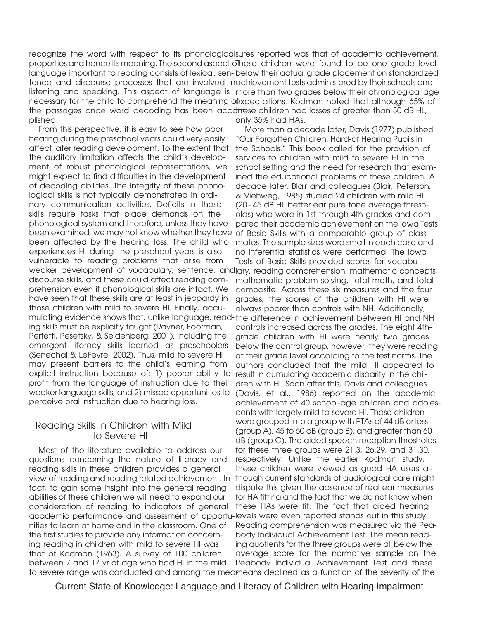recognize the word with respect to its phonological sures reported was that of academic achievement. properties and hence its meaning. The second aspect of These children were found to be one grade level language important to reading consists of lexical, sen-below their actual grade placement on standardized tence and discourse processes that are involved in achievement tests administered by their schools and listening and speaking. This aspect of language is more than two grades below their chronological age necessary for the child to comprehend the meaning osppectations. Kodman noted that although 65% of the passages once word decoding has been accd**ine**se children had losses of greater than 30 dB HL, plished. only 35% had HAs.

From this perspective, it is easy to see how poor hearing during the preschool years could very easily affect later reading development. To the extent that the auditory limitation affects the child's development of robust phonological representations, we might expect to find difficulties in the development of decoding abilities. The integrity of these phonological skills is not typically demonstrated in ordinary communication activities. Deficits in these skills require tasks that place demands on the phonological system and therefore, unless they have been examined, we may not know whether they have of Basic Skills with a comparable group of classbeen affected by the hearing loss. The child who experiences HI during the preschool years is also vulnerable to reading problems that arise from weaker development of vocabulary, sentence, and lary, reading comprehension, mathematic concepts, discourse skills, and these could affect reading comprehension even if phonological skills are intact. We have seen that these skills are at least in jeopardy in those children with mild to severe HI. Finally, accumulating evidence shows that, unlike language, read-the difference in achievement between HI and NH ing skills must be explicitly taught (Rayner, Foorman, Perfetti, Pesetsky, & Seidenberg, 2001), including the emergent literacy skills learned as preschoolers (Senechal & LeFevre, 2002). Thus, mild to severe HI may present barriers to the child's learning from explicit instruction because of: 1) poorer ability to profit from the language of instruction due to their weaker language skills, and 2) missed opportunities to perceive oral instruction due to hearing loss.

#### Reading Skills in Children with Mild to Severe HI

Most of the literature available to address our questions concerning the nature of literacy and reading skills in these children provides a general view of reading and reading related achievement. In fact, to gain some insight into the general reading abilities of these children we will need to expand our consideration of reading to indicators of general academic performance and assessment of opportu-levels were even reported stands out in this study. nities to learn at home and in the classroom. One of the first studies to provide any information concerning reading in children with mild to severe HI was that of Kodman (1963). A survey of 100 children between 7 and 17 yr of age who had HI in the mild to severe range was conducted and among the meameans declined as a function of the severity of the

More than a decade later, Davis (1977) published "Our Forgotten Children: Hard-of Hearing Pupils in the Schools." This book called for the provision of services to children with mild to severe HI in the school setting and the need for research that examined the educational problems of these children. A decade later, Blair and colleagues (Blair, Peterson, & Viehweg, 1985) studied 24 children with mild HI (20 – 45 dB HL better ear pure tone average thresholds) who were in 1st through 4th grades and compared their academic achievement on the Iowa Tests mates. The sample sizes were small in each case and no inferential statistics were performed. The Iowa Tests of Basic Skills provided scores for vocabumathematic problem solving, total math, and total composite. Across these six measures and the four grades, the scores of the children with HI were always poorer than controls with NH. Additionally, controls increased across the grades. The eight 4thgrade children with HI were nearly two grades below the control group, however, they were reading at their grade level according to the test norms. The authors concluded that the mild HI appeared to result in cumulating academic disparity in the children with HI. Soon after this, Davis and colleagues (Davis, et al., 1986) reported on the academic achievement of 40 school-age children and adolescents with largely mild to severe HI. These children were grouped into a group with PTAs of 44 dB or less (group A), 45 to 60 dB (group B), and greater than 60 dB (group C). The aided speech reception thresholds for these three groups were 21.3, 26.29, and 31.30, respectively. Unlike the earlier Kodman study, these children were viewed as good HA users although current standards of audiological care might dispute this given the absence of real ear measures for HA fitting and the fact that we do not know when these HAs were fit. The fact that aided hearing Reading comprehension was measured via the Peabody Individual Achievement Test. The mean reading quotients for the three groups were all below the average score for the normative sample on the Peabody Individual Achievement Test and these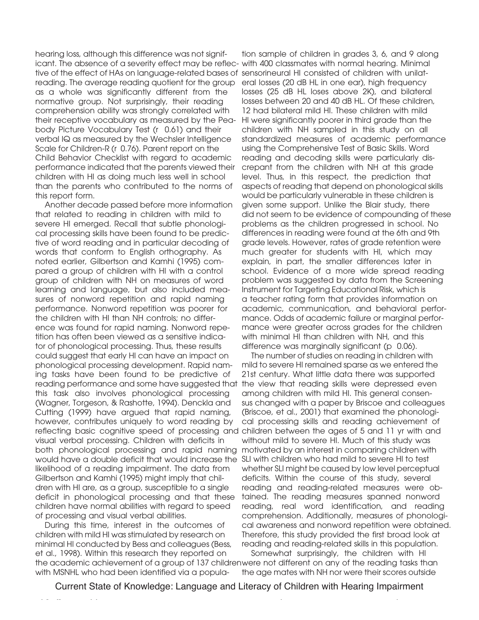hearing loss, although this difference was not significant. The absence of a severity effect may be reflec-with 400 classmates with normal hearing. Minimal tive of the effect of HAs on language-related bases of sensorineural HI consisted of children with unilatreading. The average reading quotient for the group as a whole was significantly different from the normative group. Not surprisingly, their reading comprehension ability was strongly correlated with their receptive vocabulary as measured by the Peabody Picture Vocabulary Test (r 0.61) and their verbal IQ as measured by the Wechsler Intelligence Scale for Children-R (r 0.76). Parent report on the Child Behavior Checklist with regard to academic performance indicated that the parents viewed their children with HI as doing much less well in school than the parents who contributed to the norms of this report form.

Another decade passed before more information that related to reading in children with mild to severe HI emerged. Recall that subtle phonological processing skills have been found to be predictive of word reading and in particular decoding of words that conform to English orthography. As noted earlier, Gilbertson and Kamhi (1995) compared a group of children with HI with a control group of children with NH on measures of word learning and language, but also included measures of nonword repetition and rapid naming performance. Nonword repetition was poorer for the children with HI than NH controls; no difference was found for rapid naming. Nonword repetition has often been viewed as a sensitive indicator of phonological processing. Thus, these results could suggest that early HI can have an impact on phonological processing development. Rapid naming tasks have been found to be predictive of reading performance and some have suggested that the view that reading skills were depressed even this task also involves phonological processing (Wagner, Torgeson, & Rashotte, 1994). Denckla and Cutting (1999) have argued that rapid naming, however, contributes uniquely to word reading by reflecting basic cognitive speed of processing and children between the ages of 5 and 11 yr with and visual verbal processing. Children with deficits in both phonological processing and rapid naming motivated by an interest in comparing children with would have a double deficit that would increase the SLI with children who had mild to severe HI to test likelihood of a reading impairment. The data from Gilbertson and Kamhi (1995) might imply that children with HI are, as a group, susceptible to a single deficit in phonological processing and that these children have normal abilities with regard to speed of processing and visual verbal abilities.

During this time, interest in the outcomes of children with mild HI was stimulated by research on minimal HI conducted by Bess and colleagues (Bess, et al., 1998). Within this research they reported on the academic achievement of a group of 137 children were not different on any of the reading tasks than with MSNHL who had been identified via a popula-

tion sample of children in grades 3, 6, and 9 along eral losses (20 dB HL in one ear), high frequency losses (25 dB HL loses above 2K), and bilateral losses between 20 and 40 dB HL. Of these children, 12 had bilateral mild HI. These children with mild HI were significantly poorer in third grade than the children with NH sampled in this study on all standardized measures of academic performance using the Comprehensive Test of Basic Skills. Word reading and decoding skills were particularly discrepant from the children with NH at this grade level. Thus, in this respect, the prediction that aspects of reading that depend on phonological skills would be particularly vulnerable in these children is given some support. Unlike the Blair study, there did not seem to be evidence of compounding of these problems as the children progressed in school. No differences in reading were found at the 6th and 9th grade levels. However, rates of grade retention were much greater for students with HI, which may explain, in part, the smaller differences later in school. Evidence of a more wide spread reading problem was suggested by data from the Screening Instrument for Targeting Educational Risk, which is a teacher rating form that provides information on academic, communication, and behavioral performance. Odds of academic failure or marginal performance were greater across grades for the children with minimal HI than children with NH, and this difference was marginally significant (p 0.06).

The number of studies on reading in children with mild to severe HI remained sparse as we entered the 21st century. What little data there was supported among children with mild HI. This general consensus changed with a paper by Briscoe and colleagues (Briscoe, et al., 2001) that examined the phonological processing skills and reading achievement of without mild to severe HI. Much of this study was whether SLI might be caused by low level perceptual deficits. Within the course of this study, several reading and reading-related measures were obtained. The reading measures spanned nonword reading, real word identification, and reading comprehension. Additionally, measures of phonological awareness and nonword repetition were obtained. Therefore, this study provided the first broad look at reading and reading-related skills in this population.

Somewhat surprisingly, the children with HI the age mates with NH nor were their scores outside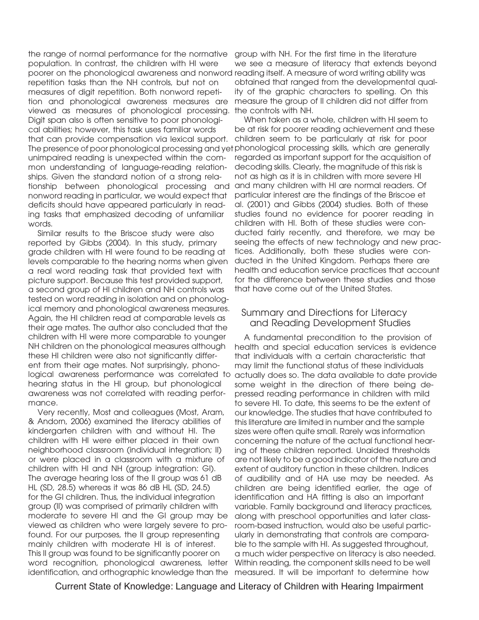the range of normal performance for the normative population. In contrast, the children with HI were poorer on the phonological awareness and nonword reading itself. A measure of word writing ability was repetition tasks than the NH controls, but not on measures of digit repetition. Both nonword repetition and phonological awareness measures are viewed as measures of phonological processing. Digit span also is often sensitive to poor phonological abilities; however, this task uses familiar words that can provide compensation via lexical support. The presence of poor phonological processing and yet phonological processing skills, which are generally unimpaired reading is unexpected within the common understanding of language-reading relationships. Given the standard notion of a strong relationship between phonological processing and nonword reading in particular, we would expect that deficits should have appeared particularly in reading tasks that emphasized decoding of unfamiliar words.

Similar results to the Briscoe study were also reported by Gibbs (2004). In this study, primary grade children with HI were found to be reading at levels comparable to the hearing norms when given a real word reading task that provided text with picture support. Because this test provided support, a second group of HI children and NH controls was tested on word reading in isolation and on phonological memory and phonological awareness measures. Again, the HI children read at comparable levels as their age mates. The author also concluded that the children with HI were more comparable to younger NH children on the phonological measures although these HI children were also not significantly different from their age mates. Not surprisingly, phonohearing status in the HI group, but phonological awareness was not correlated with reading performance.

Very recently, Most and colleagues (Most, Aram, & Andorn, 2006) examined the literacy abilities of kindergarten children with and without HI. The children with HI were either placed in their own neighborhood classroom (individual integration; II) or were placed in a classroom with a mixture of children with HI and NH (group integration: GI). The average hearing loss of the II group was 61 dB HL (SD, 28.5) whereas it was 86 dB HL (SD, 24.5) for the GI children. Thus, the individual integration group (II) was comprised of primarily children with moderate to severe HI and the GI group may be viewed as children who were largely severe to profound. For our purposes, the II group representing mainly children with moderate HI is of interest. This II group was found to be significantly poorer on word recognition, phonological awareness, letter identification, and orthographic knowledge than the measured. It will be important to determine how

group with NH. For the first time in the literature we see a measure of literacy that extends beyond obtained that ranged from the developmental quality of the graphic characters to spelling. On this measure the group of II children did not differ from the controls with NH.

When taken as a whole, children with HI seem to be at risk for poorer reading achievement and these children seem to be particularly at risk for poor regarded as important support for the acquisition of decoding skills. Clearly, the magnitude of this risk is not as high as it is in children with more severe HI and many children with HI are normal readers. Of particular interest are the findings of the Briscoe et al. (2001) and Gibbs (2004) studies. Both of these studies found no evidence for poorer reading in children with HI. Both of these studies were conducted fairly recently, and therefore, we may be seeing the effects of new technology and new practices. Additionally, both these studies were conducted in the United Kingdom. Perhaps there are health and education service practices that account for the difference between these studies and those that have come out of the United States.

## Summary and Directions for Literacy and Reading Development Studies

logical awareness performance was correlated to actually does so. The data available to date provide A fundamental precondition to the provision of health and special education services is evidence that individuals with a certain characteristic that may limit the functional status of these individuals some weight in the direction of there being depressed reading performance in children with mild to severe HI. To date, this seems to be the extent of our knowledge. The studies that have contributed to this literature are limited in number and the sample sizes were often quite small. Rarely was information concerning the nature of the actual functional hearing of these children reported. Unaided thresholds are not likely to be a good indicator of the nature and extent of auditory function in these children. Indices of audibility and of HA use may be needed. As children are being identified earlier, the age of identification and HA fitting is also an important variable. Family background and literacy practices, along with preschool opportunities and later classroom-based instruction, would also be useful particularly in demonstrating that controls are comparable to the sample with HI. As suggested throughout, a much wider perspective on literacy is also needed. Within reading, the component skills need to be well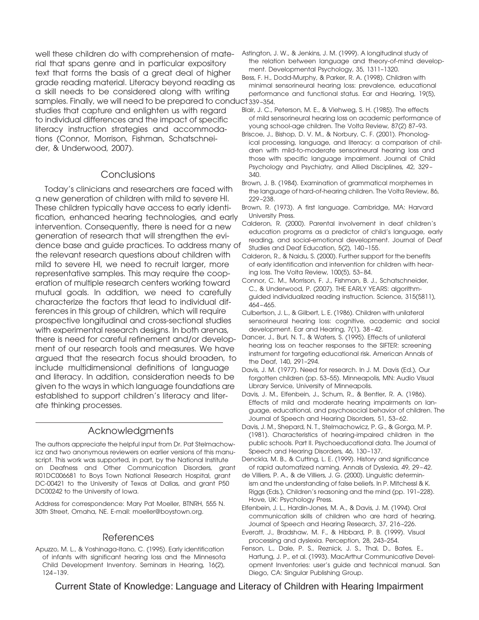well these children do with comprehension of material that spans genre and in particular expository text that forms the basis of a great deal of higher grade reading material. Literacy beyond reading as a skill needs to be considered along with writing samples. Finally, we will need to be prepared to conduct 339 –354. studies that capture and enlighten us with regard to individual differences and the impact of specific literacy instruction strategies and accommodations (Connor, Morrison, Fishman, Schatschneider, & Underwood, 2007).

#### Conclusions

Today's clinicians and researchers are faced with a new generation of children with mild to severe HI. These children typically have access to early identification, enhanced hearing technologies, and early intervention. Consequently, there is need for a new generation of research that will strengthen the evidence base and guide practices. To address many of the relevant research questions about children with mild to severe HI, we need to recruit larger, more representative samples. This may require the cooperation of multiple research centers working toward mutual goals. In addition, we need to carefully characterize the factors that lead to individual differences in this group of children, which will require prospective longitudinal and cross-sectional studies with experimental research designs. In both arenas, there is need for careful refinement and/or development of our research tools and measures. We have argued that the research focus should broaden, to include multidimensional definitions of language and literacy. In addition, consideration needs to be given to the ways in which language foundations are established to support children's literacy and literate thinking processes.

## Acknowledgments

The authors appreciate the helpful input from Dr. Pat Stelmachowicz and two anonymous reviewers on earlier versions of this manuscript. This work was supported, in part, by the National Institute on Deafness and Other Communication Disorders, grant R01DC006681 to Boys Town National Research Hospital, grant DC-00421 to the University of Texas at Dallas, and grant P50 DC00242 to the University of Iowa.

Address for correspondence: Mary Pat Moeller, BTNRH, 555 N. 30th Street, Omaha, NE. E-mail: moeller@boystown.org.

# References

Apuzzo, M. L., & Yoshinaga-Itano, C. (1995). Early identification of infants with significant hearing loss and the Minnesota Child Development Inventory. Seminars in Hearing, 16(2), 124 –139.

Astington, J. W., & Jenkins, J. M. (1999). A longitudinal study of the relation between language and theory-of-mind development. Developmental Psychology, 35, 1311–1320.

Bess, F. H., Dodd-Murphy, & Parker, R. A. (1998). Children with minimal sensorineural hearing loss: prevalence, educational performance and functional status. Ear and Hearing, 19(5),

- Blair, J. C., Peterson, M. E., & Viehweg, S. H. (1985). The effects of mild sensorineural hearing loss on academic performance of young school-age children. The Volta Review, 87(2) 87–93.
- Briscoe, J., Bishop, D. V. M., & Norbury, C. F. (2001). Phonological processing, language, and literacy: a comparison of children with mild-to-moderate sensorineural hearing loss and those with specific language impairment. Journal of Child Psychology and Psychiatry, and Allied Disciplines, 42, 329 – 340.
- Brown, J. B. (1984). Examination of grammatical morphemes in the language of hard-of-hearing children. The Volta Review, 86, 229 –238.
- Brown, R. (1973). A first language. Cambridge, MA: Harvard University Press.
- Calderon, R. (2000). Parental involvement in deaf children's education programs as a predictor of child's language, early reading, and social-emotional development. Journal of Deaf Studies and Deaf Education, 5(2), 140 –155.
- Calderon, R., & Naidu, S. (2000). Further support for the benefits of early identification and intervention for children with hearing loss. The Volta Review, 100(5), 53– 84.
- Connor, C. M., Morrison, F. J., Fishman, B. J., Schatschneider, C., & Underwood, P. (2007). THE EARLY YEARS: algorithmguided individualized reading instruction. Science, 315(5811), 464 – 465.
- Culbertson, J. L., & Gilbert, L. E. (1986). Children with unilateral sensorineural hearing loss: cognitive, academic and social development. Ear and Hearing, 7(1), 38 – 42.
- Dancer, J., Burl, N. T., & Waters, S. (1995). Effects of unilateral hearing loss on teacher responses to the SIFTER: screening instrument for targeting educational risk. American Annals of the Deaf, 140, 291–294.
- Davis, J. M. (1977). Need for research. In J. M. Davis (Ed.), Our forgotten children (pp. 53–55). Minneapolis, MN: Audio Visual Library Service, University of Minneapolis.
- Davis, J. M., Elfenbein, J., Schum, R., & Bentler, R. A. (1986). Effects of mild and moderate hearing impairments on language, educational, and psychosocial behavior of children. The Journal of Speech and Hearing Disorders, 51, 53– 62.
- Davis, J. M., Shepard, N. T., Stelmachowicz, P. G., & Gorga, M. P. (1981). Characteristics of hearing-impaired children in the public schools. Part II. Psychoeducational data. The Journal of Speech and Hearing Disorders, 46, 130-137.
- Denckla, M. B., & Cutting, L. E. (1999). History and significance of rapid automatized naming. Annals of Dyslexia, 49, 29 – 42.
- de Villiers, P. A., & de Villiers, J. G. (2000). Linguistic determinism and the understanding of false beliefs. In P. Mitchessl & K. Riggs (Eds.), Children's reasoning and the mind (pp. 191–228). Hove, UK: Psychology Press.
- Elfenbein, J. L., Hardin-Jones, M. A., & Davis, J. M. (1994). Oral communication skills of children who are hard of hearing. Journal of Speech and Hearing Research, 37, 216 –226.
- Everatt, J., Bradshaw, M. F., & Hibbard, P. B. (1999). Visual processing and dyslexia. Perception, 28, 243–254.
- Fenson, L., Dale, P. S., Reznick, J. S., Thal, D., Bates, E., Hartung, J. P., et al. (1993). MacArthur Communicative Development Inventories: user's guide and technical manual. San Diego, CA: Singular Publishing Group.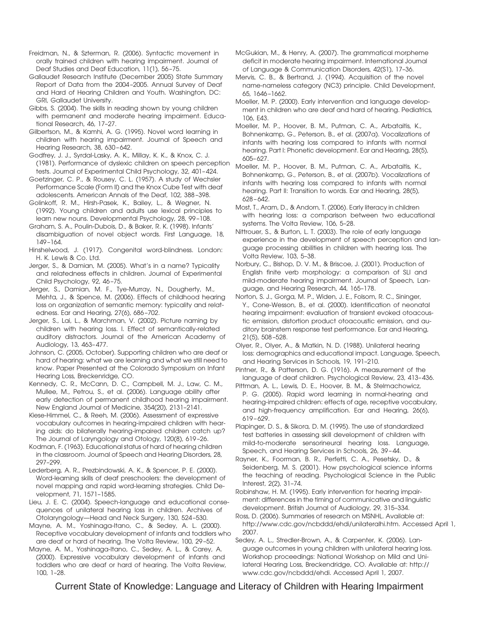Freidman, N., & Szterman, R. (2006). Syntactic movement in orally trained children with hearing impairment. Journal of Deaf Studies and Deaf Education, 11(1), 56 –75.

Gallaudet Research Institute (December 2005) State Summary Report of Data from the 2004 –2005. Annual Survey of Deaf and Hard of Hearing Children and Youth. Washington, DC: GRI, Gallaudet University.

Gibbs, S. (2004). The skills in reading shown by young children with permanent and moderate hearing impairment. Educational Research, 46, 17–27.

Gilbertson, M., & Kamhi, A. G. (1995). Novel word learning in children with hearing impairment. Journal of Speech and Hearing Research, 38, 630-642.

Godfrey, J. J., Syrdal-Lasky, A. K., Millay, K. K., & Knox, C. J. (1981). Performance of dyslexic children on speech perception tests. Journal of Experimental Child Psychology, 32, 401– 424.

Goetzinger, C. P., & Rousey, C. L. (1957). A study of Wechsler Performance Scale (Form II) and the Knox Cube Test with deaf adolescents. American Annals of the Deaf, 102, 388 –398.

Golinkoff, R. M., Hirsh-Pasek, K., Bailey, L., & Wegner, N. (1992). Young children and adults use lexical principles to learn new nouns. Developmental Psychology, 28, 99 –108.

Graham, S. A., Poulin-Dubois, D., & Baker, R. K. (1998). Infants' disambiguation of novel object words. First Language, 18, 149 –164.

Hinshelwood, J. (1917). Congenital word-blindness. London: H. K. Lewis & Co. Ltd.

Jerger, S., & Damian, M. (2005). What's in a name? Typicality and relatedness effects in children. Journal of Experimental Child Psychology, 92, 46 –75.

Jerger, S., Damian, M. F., Tye-Murray, N., Dougherty, M., Mehta, J., & Spence, M. (2006). Effects of childhood hearing loss on organization of semantic memory: typicality and relatedness. Ear and Hearing, 27(6), 686 –702.

Jerger, S., Lai, L., & Marchman, V. (2002). Picture naming by children with hearing loss. I. Effect of semantically-related auditory distractors. Journal of the American Academy of Audiology, 13, 463– 477.

Johnson, C. (2005, October). Supporting children who are deaf or hard of hearing: what we are learning and what we still need to know. Paper Presented at the Colorado Symposium on Infant Hearing Loss, Breckenridge, CO.

Kennedy, C. R., McCann, D. C., Campbell, M. J., Law, C. M., Mullee, M., Petrou, S., et al. (2006). Language ability after early detection of permanent childhood hearing impairment. New England Journal of Medicine, 354(20), 2131–2141.

Kiese-Himmel, C., & Reeh, M. (2006). Assessment of expressive vocabulary outcomes in hearing-impaired children with hearing aids: do bilaterally hearing-impaired children catch up? The Journal of Laryngology and Otology, 120(8), 619 –26.

Kodman, F. (1963). Educational status of hard of hearing children in the classroom. Journal of Speech and Hearing Disorders, 28, 297–299.

Lederberg, A. R., Prezbindowski, A. K., & Spencer, P. E. (2000). Word-learning skills of deaf preschoolers: the development of novel mapping and rapid word-learning strategies. Child Development, 71, 1571–1585.

Lieu, J. E. C. (2004). Speech-language and educational consequences of unilateral hearing loss in children. Archives of Otolaryngology—Head and Neck Surgery, 130, 524 –530.

Mayne, A. M., Yoshinaga-Itano, C., & Sedey, A. L. (2000). Receptive vocabulary development of infants and toddlers who are deaf or hard of hearing. The Volta Review, 100, 29 –52.

Mayne, A. M., Yoshinaga-Itano, C., Sedey, A. L., & Carey, A. (2000). Expressive vocabulary development of infants and toddlers who are deaf or hard of hearing. The Volta Review, 100, 1–28.

McGukian, M., & Henry, A. (2007). The grammatical morpheme deficit in moderate hearing impairment. International Journal of Language & Communication Disorders, 42(S1), 17–36.

Mervis, C. B., & Bertrand, J. (1994). Acquisition of the novel name-nameless category (NC3) principle. Child Development, 65, 1646 –1662.

Moeller, M. P. (2000). Early intervention and language development in children who are deaf and hard of hearing. Pediatrics, 106, E43.

Moeller, M. P., Hoover, B. M., Putman, C. A., Arbataitis, K., Bohnenkamp, G., Peterson, B., et al. (2007a). Vocalizations of infants with hearing loss compared to infants with normal hearing. Part I: Phonetic development. Ear and Hearing, 28(5), 605– 627.

Moeller, M. P., Hoover, B. M., Putman, C. A., Arbataitis, K., Bohnenkamp, G., Peterson, B., et al. (2007b). Vocalizations of infants with hearing loss compared to infants with normal hearing. Part II: Transition to words. Ear and Hearing, 28(5), 628 – 642.

Most, T., Aram, D., & Andorn, T. (2006). Early literacy in children with hearing loss: a comparison between two educational systems. The Volta Review, 106, 5–28.

Nittrouer, S., & Burton, L. T. (2003). The role of early language experience in the development of speech perception and language processing abilities in children with hearing loss. The Volta Review, 103, 5–38.

Norbury, C., Bishop, D. V. M., & Briscoe, J. (2001). Production of English finite verb morphology: a comparison of SLI and mild-moderate hearing impairment. Journal of Speech, Language, and Hearing Research, 44, 165–178.

Norton, S. J., Gorga, M. P., Widen, J. E., Folsom, R. C., Sininger, Y., Cone-Wesson, B., et al. (2000). Identification of neonatal hearing impairment: evaluation of transient evoked otoacoustic emission, distortion product otoacoustic emission, and auditory brainstem response test performance. Ear and Hearing, 21(5), 508 –528.

Olyer, R., Olyer, A., & Matkin, N. D. (1988). Unilateral hearing loss: demographics and educational impact. Language, Speech, and Hearing Services in Schools, 19, 191–210.

Pintner, R., & Patterson, D. G. (1916). A measurement of the language of deaf children. Psychological Review, 23, 413– 436.

Pittman, A. L., Lewis, D. E., Hoover, B. M., & Stelmachowicz, P. G. (2005). Rapid word learning in normal-hearing and hearing-impaired children: effects of age, receptive vocabulary, and high-frequency amplification. Ear and Hearing, 26(6), 619 – 629.

Plapinger, D. S., & Sikora, D. M. (1995). The use of standardized test batteries in assessing skill development of children with mild-to-moderate sensorineural hearing loss. Language, Speech, and Hearing Services in Schools, 26, 39 – 44.

Rayner, K., Foorman, B. R., Perfetti, C. A., Pesetsky, D., & Seidenberg, M. S. (2001). How psychological science informs the teaching of reading. Psychological Science in the Public Interest, 2(2), 31–74.

Robinshaw, H. M. (1995). Early intervention for hearing impairment: differences in the timing of communicative and linguistic development. British Journal of Audiology, 29, 315–334.

Ross, D. (2006). Summaries of research on MSNHL. Available at: http://www.cdc.gov/ncbddd/ehdi/unilateralhi.htm. Accessed April 1, 2007.

Sedey, A. L., Stredler-Brown, A., & Carpenter, K. (2006). Language outcomes in young children with unilateral hearing loss. Workshop proceedings: National Workshop on Mild and Unilateral Hearing Loss, Breckendridge, CO. Available at: http:// www.cdc.gov/ncbddd/ehdi. Accessed April 1, 2007.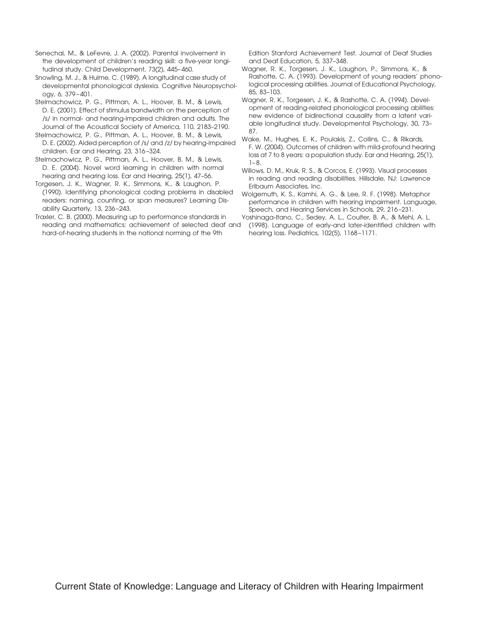Senechal, M., & LeFevre, J. A. (2002). Parental involvement in the development of children's reading skill: a five-year longitudinal study. Child Development, 73(2), 445– 460.

Snowling, M. J., & Hulme, C. (1989). A longitudinal case study of developmental phonological dyslexia. Cognitive Neuropsychology, 6, 379 – 401.

Stelmachowicz, P. G., Pittman, A. L., Hoover, B. M., & Lewis, D. E. (2001). Effect of stimulus bandwidth on the perception of /s/ in normal- and hearing-impaired children and adults. The Journal of the Acoustical Society of America, 110, 2183–2190.

Stelmachowicz, P. G., Pittman, A. L., Hoover, B. M., & Lewis, D. E. (2002). Aided perception of /s/ and /z/ by hearing-impaired children. Ear and Hearing, 23, 316 –324.

Stelmachowicz, P. G., Pittman, A. L., Hoover, B. M., & Lewis, D. E. (2004). Novel word learning in children with normal hearing and hearing loss. Ear and Hearing, 25(1), 47–56.

Torgesen, J. K., Wagner, R. K., Simmons, K., & Laughon, P. (1990). Identifying phonological coding problems in disabled readers: naming, counting, or span measures? Learning Disability Quarterly, 13, 236 –243.

Traxler, C. B. (2000). Measuring up to performance standards in reading and mathematics: achievement of selected deaf and hard-of-hearing students in the national norming of the 9th

Edition Stanford Achievement Test. Journal of Deaf Studies and Deaf Education, 5, 337–348.

Wagner, R. K., Torgesen, J. K., Laughon, P., Simmons, K., & Rashotte, C. A. (1993). Development of young readers' phonological processing abilities. Journal of Educational Psychology, 85, 83–103.

Wagner, R. K., Torgesen, J. K., & Rashotte, C. A. (1994). Development of reading-related phonological processing abilities: new evidence of bidirectional causality from a latent variable longitudinal study. Developmental Psychology, 30, 73– 87.

Wake, M., Hughes, E. K., Poulakis, Z., Collins, C., & Rikards, F. W. (2004). Outcomes of children with mild-profound hearing loss at 7 to 8 years: a population study. Ear and Hearing, 25(1),  $1 - 8$ .

Willows, D. M., Kruk, R. S., & Corcos, E. (1993). Visual processes in reading and reading disabilities. Hillsdale, NJ: Lawrence Erlbaum Associates, Inc.

Wolgemuth, K. S., Kamhi, A. G., & Lee, R. F. (1998). Metaphor performance in children with hearing impairment. Language, Speech, and Hearing Services in Schools, 29, 216 –231.

Yoshinaga-Itano, C., Sedey, A. L., Coulter, B. A., & Mehl, A. L. (1998). Language of early-and later-identified children with hearing loss. Pediatrics, 102(5), 1168 –1171.